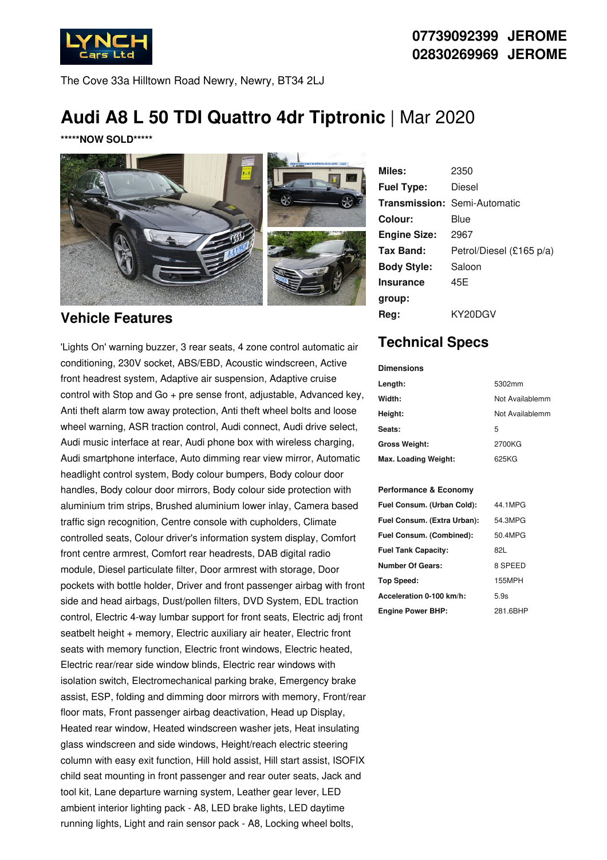

The Cove 33a Hilltown Road Newry, Newry, BT34 2LJ

# **Audi A8 L 50 TDI Quattro 4dr Tiptronic** | Mar 2020

**\*\*\*\*\*NOW SOLD\*\*\*\*\***



### **Vehicle Features**

'Lights On' warning buzzer, 3 rear seats, 4 zone control automatic air conditioning, 230V socket, ABS/EBD, Acoustic windscreen, Active front headrest system, Adaptive air suspension, Adaptive cruise control with Stop and Go + pre sense front, adjustable, Advanced key, Anti theft alarm tow away protection, Anti theft wheel bolts and loose wheel warning, ASR traction control, Audi connect, Audi drive select, Audi music interface at rear, Audi phone box with wireless charging, Audi smartphone interface, Auto dimming rear view mirror, Automatic headlight control system, Body colour bumpers, Body colour door handles, Body colour door mirrors, Body colour side protection with aluminium trim strips, Brushed aluminium lower inlay, Camera based traffic sign recognition, Centre console with cupholders, Climate controlled seats, Colour driver's information system display, Comfort front centre armrest, Comfort rear headrests, DAB digital radio module, Diesel particulate filter, Door armrest with storage, Door pockets with bottle holder, Driver and front passenger airbag with front side and head airbags, Dust/pollen filters, DVD System, EDL traction control, Electric 4-way lumbar support for front seats, Electric adj front seatbelt height + memory, Electric auxiliary air heater, Electric front seats with memory function, Electric front windows, Electric heated, Electric rear/rear side window blinds, Electric rear windows with isolation switch, Electromechanical parking brake, Emergency brake assist, ESP, folding and dimming door mirrors with memory, Front/rear floor mats, Front passenger airbag deactivation, Head up Display, Heated rear window, Heated windscreen washer jets, Heat insulating glass windscreen and side windows, Height/reach electric steering column with easy exit function, Hill hold assist, Hill start assist, ISOFIX child seat mounting in front passenger and rear outer seats, Jack and tool kit, Lane departure warning system, Leather gear lever, LED ambient interior lighting pack - A8, LED brake lights, LED daytime running lights, Light and rain sensor pack - A8, Locking wheel bolts,

| Miles:              | 2350                                |
|---------------------|-------------------------------------|
| <b>Fuel Type:</b>   | Diesel                              |
|                     | <b>Transmission: Semi-Automatic</b> |
| Colour:             | Blue                                |
| <b>Engine Size:</b> | 2967                                |
| <b>Tax Band:</b>    | Petrol/Diesel (£165 p/a)            |
| <b>Body Style:</b>  | Saloon                              |
| <b>Insurance</b>    | 45E                                 |
| group:              |                                     |
| Reg:                | KY20DGV                             |

## **Technical Specs**

| <b>Dimensions</b>    |                 |
|----------------------|-----------------|
| Length:              | 5302mm          |
| Width:               | Not Availablemm |
| Height:              | Not Availablemm |
| Seats:               | 5               |
| <b>Gross Weight:</b> | 2700KG          |
| Max. Loading Weight: | 625KG           |

#### **Performance & Economy**

| Fuel Consum. (Urban Cold):  | 44.1MPG  |
|-----------------------------|----------|
| Fuel Consum. (Extra Urban): | 54.3MPG  |
| Fuel Consum. (Combined):    | 50.4MPG  |
| <b>Fuel Tank Capacity:</b>  | 821.     |
| <b>Number Of Gears:</b>     | 8 SPEED  |
| Top Speed:                  | 155MPH   |
| Acceleration 0-100 km/h:    | 5.9s     |
| <b>Engine Power BHP:</b>    | 281.6BHP |

## **07739092399 JEROME 02830269969 JEROME**